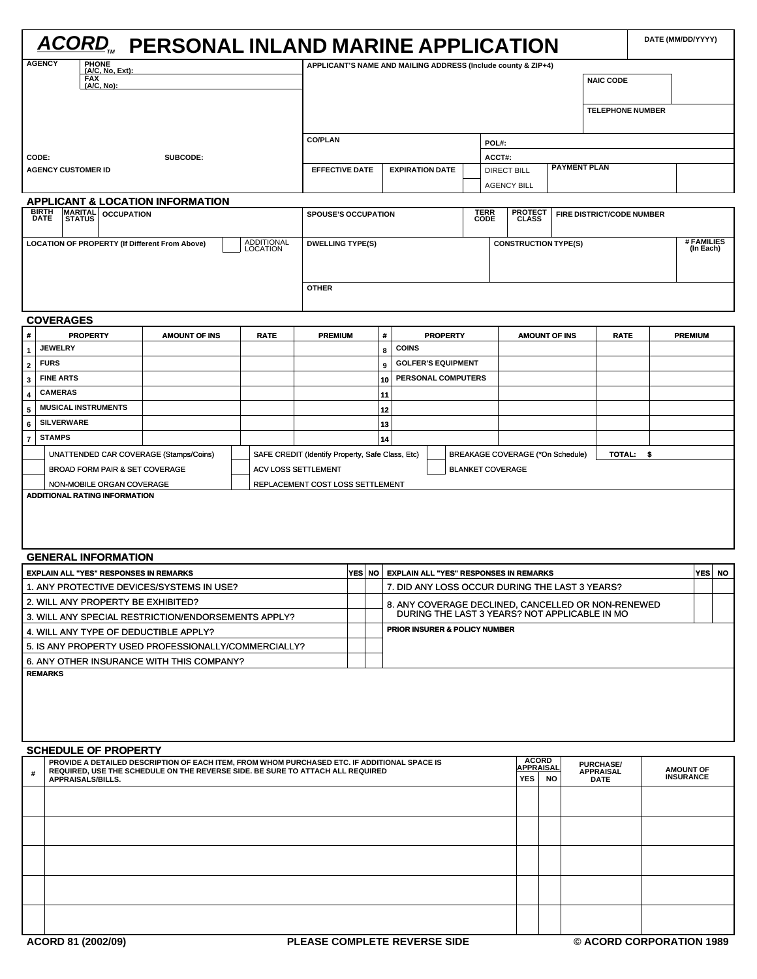| <b>ACORD</b> , PERSONAL INLAND MARINE APPLICATION                                            |                                                                                                                                                                                |                            |                                                  |                         |        |                                                                                           |                                                               |  |                         |                                          |                            |  |                                      |                          | DATE (MM/DD/YYYY) |                         |
|----------------------------------------------------------------------------------------------|--------------------------------------------------------------------------------------------------------------------------------------------------------------------------------|----------------------------|--------------------------------------------------|-------------------------|--------|-------------------------------------------------------------------------------------------|---------------------------------------------------------------|--|-------------------------|------------------------------------------|----------------------------|--|--------------------------------------|--------------------------|-------------------|-------------------------|
| <b>AGENCY</b><br><b>PHONE</b><br>(A/C, No, Ext):                                             |                                                                                                                                                                                |                            |                                                  |                         |        |                                                                                           | APPLICANT'S NAME AND MAILING ADDRESS (Include county & ZIP+4) |  |                         |                                          |                            |  |                                      |                          |                   |                         |
| FAX<br>(A/C, No):                                                                            |                                                                                                                                                                                |                            |                                                  |                         |        |                                                                                           |                                                               |  |                         |                                          | <b>NAIC CODE</b>           |  |                                      |                          |                   |                         |
|                                                                                              |                                                                                                                                                                                |                            |                                                  |                         |        |                                                                                           |                                                               |  |                         |                                          |                            |  |                                      |                          |                   |                         |
|                                                                                              |                                                                                                                                                                                |                            |                                                  |                         |        |                                                                                           |                                                               |  |                         |                                          |                            |  | <b>TELEPHONE NUMBER</b>              |                          |                   |                         |
|                                                                                              |                                                                                                                                                                                |                            |                                                  |                         |        |                                                                                           |                                                               |  |                         |                                          |                            |  |                                      |                          |                   |                         |
| SUBCODE:                                                                                     |                                                                                                                                                                                |                            |                                                  | <b>CO/PLAN</b><br>POL#: |        |                                                                                           |                                                               |  |                         |                                          |                            |  |                                      |                          |                   |                         |
| CODE:                                                                                        | <b>EFFECTIVE DATE</b>                                                                                                                                                          |                            |                                                  | <b>EXPIRATION DATE</b>  |        |                                                                                           | ACCT#:                                                        |  | <b>PAYMENT PLAN</b>     |                                          |                            |  |                                      |                          |                   |                         |
| <b>AGENCY CUSTOMER ID</b>                                                                    |                                                                                                                                                                                |                            |                                                  |                         |        |                                                                                           |                                                               |  |                         | <b>DIRECT BILL</b><br><b>AGENCY BILL</b> |                            |  |                                      |                          |                   |                         |
| <b>APPLICANT &amp; LOCATION INFORMATION</b>                                                  |                                                                                                                                                                                |                            |                                                  |                         |        |                                                                                           |                                                               |  |                         |                                          |                            |  |                                      |                          |                   |                         |
| <b>BIRTH</b><br>MARITAL<br><b>OCCUPATION</b><br>DATE                                         |                                                                                                                                                                                |                            | <b>SPOUSE'S OCCUPATION</b>                       |                         |        |                                                                                           |                                                               |  | <b>TERR</b><br>CODE     | <b>PROTECT<br/>CLASS</b>                 |                            |  | FIRE DISTRICT/CODE NUMBER            |                          |                   |                         |
|                                                                                              |                                                                                                                                                                                |                            |                                                  |                         |        |                                                                                           |                                                               |  |                         |                                          |                            |  |                                      |                          |                   |                         |
| <b>LOCATION OF PROPERTY (If Different From Above)</b>                                        |                                                                                                                                                                                | ADDITIONAL<br>LOCATION     | <b>DWELLING TYPE(S)</b>                          |                         |        |                                                                                           |                                                               |  |                         | <b>CONSTRUCTION TYPE(S)</b>              |                            |  |                                      |                          |                   | # FAMILIES<br>(In Each) |
|                                                                                              |                                                                                                                                                                                |                            |                                                  |                         |        |                                                                                           |                                                               |  |                         |                                          |                            |  |                                      |                          |                   |                         |
|                                                                                              |                                                                                                                                                                                |                            |                                                  |                         |        |                                                                                           |                                                               |  |                         |                                          |                            |  |                                      |                          |                   |                         |
|                                                                                              |                                                                                                                                                                                |                            | <b>OTHER</b>                                     |                         |        |                                                                                           |                                                               |  |                         |                                          |                            |  |                                      |                          |                   |                         |
|                                                                                              |                                                                                                                                                                                |                            |                                                  |                         |        |                                                                                           |                                                               |  |                         |                                          |                            |  |                                      |                          |                   |                         |
| <b>COVERAGES</b><br>#<br><b>PROPERTY</b>                                                     | <b>AMOUNT OF INS</b>                                                                                                                                                           | <b>RATE</b>                | <b>PREMIUM</b>                                   |                         | #      |                                                                                           | <b>PROPERTY</b>                                               |  |                         |                                          | <b>AMOUNT OF INS</b>       |  | <b>RATE</b>                          |                          | <b>PREMIUM</b>    |                         |
| <b>JEWELRY</b><br>1                                                                          |                                                                                                                                                                                |                            |                                                  |                         | 8      |                                                                                           | <b>COINS</b>                                                  |  |                         |                                          |                            |  |                                      |                          |                   |                         |
| <b>FURS</b><br>$\overline{\mathbf{2}}$                                                       |                                                                                                                                                                                |                            |                                                  |                         | 9      |                                                                                           | <b>GOLFER'S EQUIPMENT</b>                                     |  |                         |                                          |                            |  |                                      |                          |                   |                         |
| <b>FINE ARTS</b><br>3                                                                        |                                                                                                                                                                                |                            |                                                  |                         | 10     |                                                                                           | PERSONAL COMPUTERS                                            |  |                         |                                          |                            |  |                                      |                          |                   |                         |
| <b>CAMERAS</b><br>$\overline{\mathbf{4}}$                                                    |                                                                                                                                                                                |                            |                                                  |                         | 11     |                                                                                           |                                                               |  |                         |                                          |                            |  |                                      |                          |                   |                         |
| <b>MUSICAL INSTRUMENTS</b><br>5                                                              |                                                                                                                                                                                |                            |                                                  |                         |        | 12                                                                                        |                                                               |  |                         |                                          |                            |  |                                      |                          |                   |                         |
| <b>SILVERWARE</b><br>6                                                                       |                                                                                                                                                                                |                            |                                                  |                         | 13     |                                                                                           |                                                               |  |                         |                                          |                            |  |                                      |                          |                   |                         |
| <b>STAMPS</b><br>$\overline{\mathbf{r}}$                                                     |                                                                                                                                                                                |                            |                                                  |                         | 14     |                                                                                           |                                                               |  |                         |                                          |                            |  |                                      |                          |                   |                         |
| UNATTENDED CAR COVERAGE (Stamps/Coins)                                                       |                                                                                                                                                                                |                            | SAFE CREDIT (Identify Property, Safe Class, Etc) |                         |        |                                                                                           |                                                               |  |                         | BREAKAGE COVERAGE (*On Schedule)         |                            |  | TOTAL: \$                            |                          |                   |                         |
| BROAD FORM PAIR & SET COVERAGE<br>NON-MOBILE ORGAN COVERAGE                                  |                                                                                                                                                                                | <b>ACV LOSS SETTLEMENT</b> | REPLACEMENT COST LOSS SETTLEMENT                 |                         |        |                                                                                           |                                                               |  | <b>BLANKET COVERAGE</b> |                                          |                            |  |                                      |                          |                   |                         |
| <b>GENERAL INFORMATION</b>                                                                   |                                                                                                                                                                                |                            |                                                  |                         |        |                                                                                           |                                                               |  |                         |                                          |                            |  |                                      |                          |                   |                         |
| <b>EXPLAIN ALL "YES" RESPONSES IN REMARKS</b>                                                |                                                                                                                                                                                |                            |                                                  |                         | YES NO |                                                                                           | <b>EXPLAIN ALL "YES" RESPONSES IN REMARKS</b>                 |  |                         |                                          |                            |  |                                      |                          | <b>YES</b>        | <b>NO</b>               |
| 1. ANY PROTECTIVE DEVICES/SYSTEMS IN USE?                                                    |                                                                                                                                                                                |                            |                                                  |                         |        |                                                                                           | 7. DID ANY LOSS OCCUR DURING THE LAST 3 YEARS?                |  |                         |                                          |                            |  |                                      |                          |                   |                         |
| 2. WILL ANY PROPERTY BE EXHIBITED?                                                           |                                                                                                                                                                                |                            |                                                  |                         |        |                                                                                           | 8. ANY COVERAGE DECLINED, CANCELLED OR NON-RENEWED            |  |                         |                                          |                            |  |                                      |                          |                   |                         |
| 3. WILL ANY SPECIAL RESTRICTION/ENDORSEMENTS APPLY?<br>4. WILL ANY TYPE OF DEDUCTIBLE APPLY? |                                                                                                                                                                                |                            |                                                  |                         |        | DURING THE LAST 3 YEARS? NOT APPLICABLE IN MO<br><b>PRIOR INSURER &amp; POLICY NUMBER</b> |                                                               |  |                         |                                          |                            |  |                                      |                          |                   |                         |
| 5. IS ANY PROPERTY USED PROFESSIONALLY/COMMERCIALLY?                                         |                                                                                                                                                                                |                            |                                                  |                         |        |                                                                                           |                                                               |  |                         |                                          |                            |  |                                      |                          |                   |                         |
| 6. ANY OTHER INSURANCE WITH THIS COMPANY?                                                    |                                                                                                                                                                                |                            |                                                  |                         |        |                                                                                           |                                                               |  |                         |                                          |                            |  |                                      |                          |                   |                         |
| <b>REMARKS</b>                                                                               |                                                                                                                                                                                |                            |                                                  |                         |        |                                                                                           |                                                               |  |                         |                                          |                            |  |                                      |                          |                   |                         |
| <b>SCHEDULE OF PROPERTY</b><br>#                                                             | PROVIDE A DETAILED DESCRIPTION OF EACH ITEM, FROM WHOM PURCHASED ETC. IF ADDITIONAL SPACE IS<br>REQUIRED, USE THE SCHEDULE ON THE REVERSE SIDE. BE SURE TO ATTACH ALL REQUIRED |                            |                                                  |                         |        |                                                                                           |                                                               |  |                         |                                          | <b>ACORD<br/>APPRAISAL</b> |  | <b>PURCHASE/</b><br><b>APPRAISAL</b> |                          | <b>AMOUNT OF</b>  |                         |
| APPRAISALS/BILLS.                                                                            |                                                                                                                                                                                |                            |                                                  |                         |        |                                                                                           |                                                               |  |                         | <b>YES</b>                               | <b>NO</b>                  |  | <b>DATE</b>                          |                          | <b>INSURANCE</b>  |                         |
|                                                                                              |                                                                                                                                                                                |                            |                                                  |                         |        |                                                                                           |                                                               |  |                         |                                          |                            |  |                                      |                          |                   |                         |
|                                                                                              |                                                                                                                                                                                |                            |                                                  |                         |        |                                                                                           |                                                               |  |                         |                                          |                            |  |                                      |                          |                   |                         |
|                                                                                              |                                                                                                                                                                                |                            |                                                  |                         |        |                                                                                           |                                                               |  |                         |                                          |                            |  |                                      |                          |                   |                         |
|                                                                                              |                                                                                                                                                                                |                            |                                                  |                         |        |                                                                                           |                                                               |  |                         |                                          |                            |  |                                      |                          |                   |                         |
|                                                                                              |                                                                                                                                                                                |                            |                                                  |                         |        |                                                                                           |                                                               |  |                         |                                          |                            |  |                                      |                          |                   |                         |
| ACORD 81 (2002/09)                                                                           |                                                                                                                                                                                |                            |                                                  |                         |        |                                                                                           | PLEASE COMPLETE REVERSE SIDE                                  |  |                         |                                          |                            |  |                                      | © ACORD CORPORATION 1989 |                   |                         |